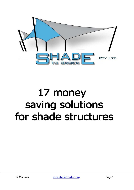

# 17 money saving solutions for shade structures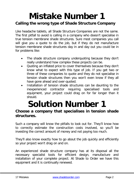#### **Mistake Number 1 Calling the wrong type of Shade Structure Company**

Like headache tablets, all Shade Structure Companies are not the same. The first pitfall to avoid is calling in a company who doesn't specialise in true tension membrane shade structures. Sure most companies you call will give you a quote to do the job, but if they do not manufacture tension membrane shade structures day in and day out you could be in for problems like:

- The shade structure company underquoting because they don't really understand how complex these projects can be.
- Quoting an inflated price to cover themselves because they don't know what to expect with this type of job. If you get two or three of these companies to quote and they do not specialise in tension shade structures then you won't even know if they all have gone ahead and over-quoted.
- Installation of tension shade structures can be daunting to the inexperienced contractor requiring specialised tools and equipment, your project could drag on for far longer than it should.

### **Solution Number 1**

#### **Choose a company that specialises in tension shade structures.**

Such a company will know the pitfalls to look out for. They'll know how to correctly estimate the construction costs involved, so you'll be investing the correct amount of money and not paying too much.

They'll also know exactly how to go about the job quickly and efficiently so your project won't drag on and on.

An experienced shade structure company has at its disposal all the necessary specialist tools for efficient design, manufacture and installation of your complete project. At Shade to Order we have this equipment and it is continually renewed.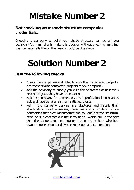#### **Not checking your shade structure companies` credentials.**

Choosing a company to build your shade structure can be a huge decision. Yet many clients make this decision without checking anything the company tells them. The results could be disastrous.

#### **Solution Number 2**

#### **Run the following checks.**

- Check the companies web site, browse their completed projects, are there similar completed projects to your proposal?
- Ask the company to supply you with the addresses of at least 3 recent projects they have undertaken.
- Ask the company for references, most professional companies ask and receive referrals from satisfied clients.
- Ask if the company designs, manufactures and installs their shade structures themselves, there are lots of shade structure companies that may manufacture the sail and not the structural steel or sub-contract out the installation. Worse still is the fact that the shade structure industry has many brokers who just own a mobile phone and live on mark ups and commission.

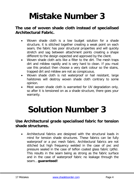#### **The use of woven shade cloth instead of specialised Architectural Fabric.**

- Woven shade cloth is a low budget solution for a shade structure, it is stitched together creating a weak point on each seam, the fabric has poor structural properties and will quickly stretch and sag between attachment points creating a shape different to the design expected and approved by the client.
- Woven shade cloth acts like a filter to the dirt. The mesh traps dirt and mildew rapidly and is very hard to clean. If you must use this product then choose a very dark colour so the stains, trapped dirt and mildew are not as conspicuous.
- Woven shade cloth is not waterproof or hail resistant, large hailstones will destroy woven shade cloth contrary to some opinion.
- Most woven shade cloth is warranted for UV degradation only, so after it is tensioned on as a shade structure, there goes your warranty.

### **Solution Number 3**

#### **Use Architectural grade specialised fabric for tension shade structures.**

• Architectural fabrics are designed with the structural loads in mind for tension shade structures. These fabrics can be fully waterproof or a pvc mesh fabric. Architectural fabrics are not stitched but high frequency welded in the case of pvc and pressure sealed in the case of teflon coated glass fabric (ptfe). This results in the seam being as strong as the fabric surface and in the case of waterproof fabric no leakage through the seam… **guaranteed!**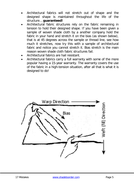- Architectural fabrics will not stretch out of shape and the designed shape is maintained throughout the life of the structure… **guaranteed!**
- Architectural fabric structures rely on the fabric remaining in tension to hold their designed shape. If you have been given a sample of woven shade cloth by a another company hold the fabric in your hand and stretch it on the bias (as shown below), that is at 45 degrees across the sample or thread line, see how much it stretches, now try this with a sample of architectural fabric and notice you cannot stretch it. Bias stretch is the main reason woven shade cloth fabric structures fail.
- Architectural fabrics are hail resistant.
- Architectural fabrics carry a full warranty with some of the more popular having a 15-year warranty. The warranty covers the use of the fabric in a high-tension situation, after all that is what it is designed to do!

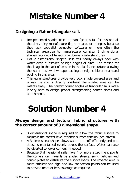#### **Designing a flat or triangular sail.**

- Inexperienced shade structure manufactures fall for this one all the time, they manufacture flat structures or triangles because they lack specialist computer software or more often the technical expertise to manufacture complex 3 dimensional shapes required of tension membrane shade structures.
- Flat 2 dimensional shaped sails will nearly always pool with water even if installed at high angles of pitch. The reason for this is again the lack of tension in the flat fabric surface allowing the water to slow down approaching an edge cable or beam and pooling in this area.
- Triangular structures provide very poor shade covered area and unless the sun is directly overhead the shaded area can be metres away. The narrow corner angles of triangular sails make it very hard to design proper strengthening corner plates and attachments.

### **Solution Number 4**

#### **Always design architectural fabric structures with the correct amount of 3 dimensional shape**.

- 3 dimensional shape is required to allow the fabric surface to maintain the correct level of fabric surface tension (pre-stress).
- A 3 dimensional shape allows water to runoff efficiently and prestress is maintained evenly across the surface. Water can also be diverted to lower corners if needed.
- Because 3 dimensional sails have 4 or more attachment points the corners can have large angled strengthening patches and corner plates to distribute the surface loads. The covered area is more efficient and high and low connection points can be used to provide more or less coverage as required.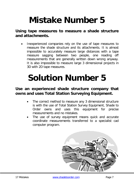#### **Using tape measures to measure a shade structure and attachments.**

• Inexperienced companies rely on the use of tape measures to measure the shade structure and its attachments. It is almost impossible to accurately measure large distances with a tape measure sagging between two people, one reading off measurements that are generally written down wrong anyway. It is also impossible to measure large 3 dimensional projects in 3D with 2D tape measures.

### **Solution Number 5**

#### **Use an experienced shade structure company that owns and uses Total Station Surveying Equipment.**

- The correct method to measure any 3 dimensional structure is with the use of Total Station Survey Equipment, Shade to Order owns and uses this equipment for precise measurements and no mistakes.
- The use of survey equipment means quick and accurate coordinate measurements transferred to a specialist cad computer program.

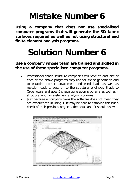**Using a company that does not use specialised computer programs that will generate the 3D fabric surfaces required as well as not using structural and finite element analysis programs.**

### **Solution Number 6**

**Use a company whose team are trained and skilled in the use of these specialised computer programs.**

- Professional shade structure companies will have at least one of each of the above programs they use for shape generation and to establish corner, attachment and wind loads as well as reaction loads to pass on to the structural engineer. Shade to Order owns and uses 5 shape generation programs as well as 4 structural and finite element analysis programs.
- Just because a company owns the software does not mean they are experienced in using it. It may be hard to establish this but a check of their previous projects, the detail and fit should show.

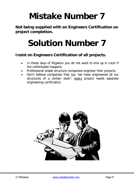**Not being supplied with an Engineers Certification on project completion.**

## **Solution Number 7**

#### **Insist on Engineers Certification of all projects.**

- In these days of litigation you do not want to end up in court if the unthinkable happens.
- Professional shade structure companies engineer their projects.
- Don't believe companies that say "we have engineered all our structures of a certain style", every project needs separate engineering certification.

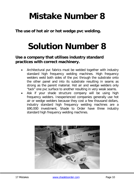**The use of hot air or hot wedge pvc welding.**

### **Solution Number 8**

#### **Use a company that utilises industry standard practices with correct machinery.**

- Architectural pvc fabrics must be welded together with industry standard high frequency welding machines. High frequency welders weld both sides of the pvc through the substrate onto the other panel and into its substrate resulting in seams as strong as the parent material. Hot air and wedge welders only "tack" one pvc surface to another resulting in very weak seams.
- Ask if your shade structure company will be using high frequency welders. Inexperienced companies generally use hot air or wedge welders because they cost a few thousand dollars, industry standard high frequency welding machines are a \$90,000 investment, Shade to Order have three industry standard high frequency welding machines.

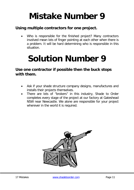#### **Using multiple contractors for one project.**

Who is responsible for the finished project? Many contractors involved mean lots of finger pointing at each other when there is a problem. It will be hard determining who is responsible in this situation.

#### **Solution Number 9**

#### **Use one contractor if possible then the buck stops with them.**

- Ask if your shade structure company designs, manufactures and installs their projects themselves.
- There are lots of "brokers" in this industry, Shade to Order completes every stage of the project at our factory at Gateshead NSW near Newcastle. We alone are responsible for your project wherever in the world it is required.

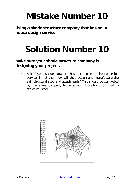**Using a shade structure company that has no in house design service.**

## **Solution Number 10**

#### **Make sure your shade structure company is designing your project.**

Ask if your shade structure has a complete in house design service. If not then how will they design and manufacture the sail, structural steel and attachments? This should be completed by the same company for a smooth transition from sail to structural steel.

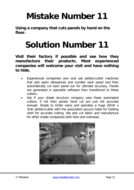**Using a company that cuts panels by hand on the floor.**

### **Solution Number 11**

**Visit their factory if possible and see how they manufacture their products. Most experienced companies will welcome your visit and have nothing to hide.**

- Experienced companies own and use plotter/cutter machines that plot seam allowances and number each panel and then automatically cut each panel out for ultimate accuracy. Panels are generated in specialist software then transferred to these cutters.
- Ask if your shade structure company uses these automated cutters, if not then panels hand cut are just not accurate enough. Shade to Order owns and operates a huge 20mtr x 3mtr plotter/cutter with the associated vacuum table for holding cloth for accurate cutting. We also cut fabric and manufacture for other shade companies both here and overseas.

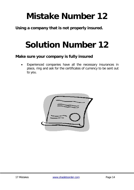**Using a company that is not properly insured.**

### **Solution Number 12**

#### **Make sure your company is fully insured**

Experienced companies have all the necessary insurances in place, ring and ask for the certificates of currency to be sent out to you.

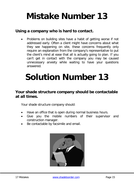#### **Using a company who is hard to contact.**

• Problems on building sites have a habit of getting worse if not addressed early. Often a client might have concerns about what they see happening on site, these concerns frequently only require an explanation from the company's representative to put the client's mind at ease that all is actually going to plan. If you can't get in contact with the company you may be caused unnecessary anxiety while waiting to have your questions answered.

### **Solution Number 13**

#### **Your shade structure company should be contactable at all times.**

Your shade structure company should:

- Have an office that is open during normal business hours.
- Give you the mobile numbers of their supervisor and construction manager.
- Be contactable by facsimile and email.

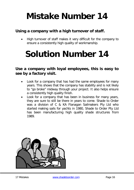#### **Using a company with a high turnover of staff.**

• High turnover of staff makes it very difficult for the company to ensure a consistently high quality of workmanship.

#### **Solution Number 14**

**Use a company with loyal employees, this is easy to see by a factory visit.**

- Look for a company that has had the same employees for many years. This shows that the company has stability and is not likely to "go broke" midway through your project. It also helps ensure a consistently high quality finish.
- Look for a company that has been in business for many years, they are sure to still be there in years to come. Shade to Order was a division of C & KA Flanagan Sailmakers Pty Ltd who started making sails for yachts in 1980, Shade to Order Pty Ltd has been manufacturing high quality shade structures from 1989.

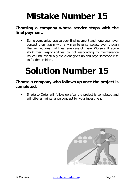#### **Choosing a company whose service stops with the final payment.**

Some companies receive your final payment and hope you never contact them again with any maintenance issues, even though the law requires that they take care of them. Worse still, some shirk their responsibilities by not responding to maintenance issues until eventually the client gives up and pays someone else to fix the problem.

### **Solution Number 15**

#### **Choose a company who follows up once the project is completed.**

Shade to Order will follow up after the project is completed and will offer a maintenance contract for your investment.

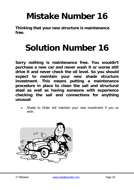**Thinking that your new structure is maintenance free.**

### **Solution Number 16**

**Sorry nothing is maintenance free. You wouldn't purchase a new car and never wash it or worse still drive it and never check the oil level. So you should expect to maintain your new shade structure investment. This means putting a maintenance procedure in place to clean the sail and structural steel as well as having someone with experience checking the sail and connections for anything unusual**.

Shade to Order will maintain your new investment if you so wish.

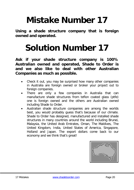**Using a shade structure company that is foreign owned and operated.**

### **Solution Number 17**

**Ask if your shade structure company is 100% Australian owned and operated, Shade to Order is and we also like to deal with other Australian Companies as much as possible.**

- Check it out, you may be surprised how many other companies in Australia are foreign owned or broker your project out to foreign companies.
- There are only a few companies in Australia that can manufacture shade structures from teflon coated glass (ptfe) one is foreign owned and the others are Australian owned including Shade to Order.
- Australian shade structure companies are among the worlds best, you would probably guess that's because of our climate. Shade to Order has designed, manufactured and installed shade structures in many countries around the world including Brunei, Malaysia, the United Arab Emirates, Oman, The Maldives, The United Kingdom, India, United States of America, Singapore, Holland and Japan. The export dollars come back to our economy and we think that's great!